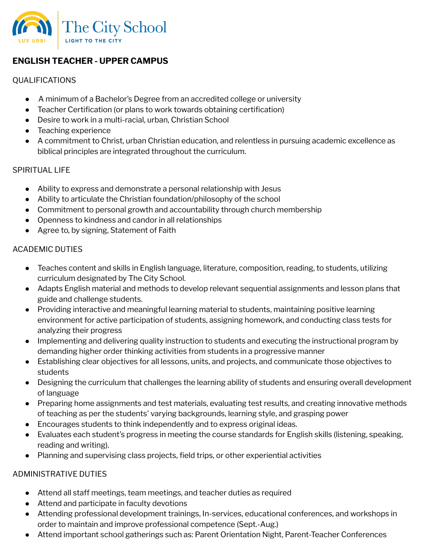

# **ENGLISH TEACHER - UPPER CAMPUS**

### QUALIFICATIONS

- A minimum of a Bachelor's Degree from an accredited college or university
- Teacher Certification (or plans to work towards obtaining certification)
- Desire to work in a multi-racial, urban, Christian School
- Teaching experience
- A commitment to Christ, urban Christian education, and relentless in pursuing academic excellence as biblical principles are integrated throughout the curriculum.

### SPIRITUAL LIFE

- Ability to express and demonstrate a personal relationship with Jesus
- Ability to articulate the Christian foundation/philosophy of the school
- Commitment to personal growth and accountability through church membership
- Openness to kindness and candor in all relationships
- Agree to, by signing, Statement of Faith

# ACADEMIC DUTIES

- Teaches content and skills in English language, literature, composition, reading, to students, utilizing curriculum designated by The City School.
- Adapts English material and methods to develop relevant sequential assignments and lesson plans that guide and challenge students.
- Providing interactive and meaningful learning material to students, maintaining positive learning environment for active participation of students, assigning homework, and conducting class tests for analyzing their progress
- Implementing and delivering quality instruction to students and executing the instructional program by demanding higher order thinking activities from students in a progressive manner
- Establishing clear objectives for all lessons, units, and projects, and communicate those objectives to students
- Designing the curriculum that challenges the learning ability of students and ensuring overall development of language
- Preparing home assignments and test materials, evaluating test results, and creating innovative methods of teaching as per the students' varying backgrounds, learning style, and grasping power
- Encourages students to think independently and to express original ideas.
- Evaluates each student's progress in meeting the course standards for English skills (listening, speaking, reading and writing).
- Planning and supervising class projects, field trips, or other experiential activities

# ADMINISTRATIVE DUTIES

- Attend all staff meetings, team meetings, and teacher duties as required
- Attend and participate in faculty devotions
- Attending professional development trainings, In-services, educational conferences, and workshops in order to maintain and improve professional competence (Sept.-Aug.)
- Attend important school gatherings such as: Parent Orientation Night, Parent-Teacher Conferences